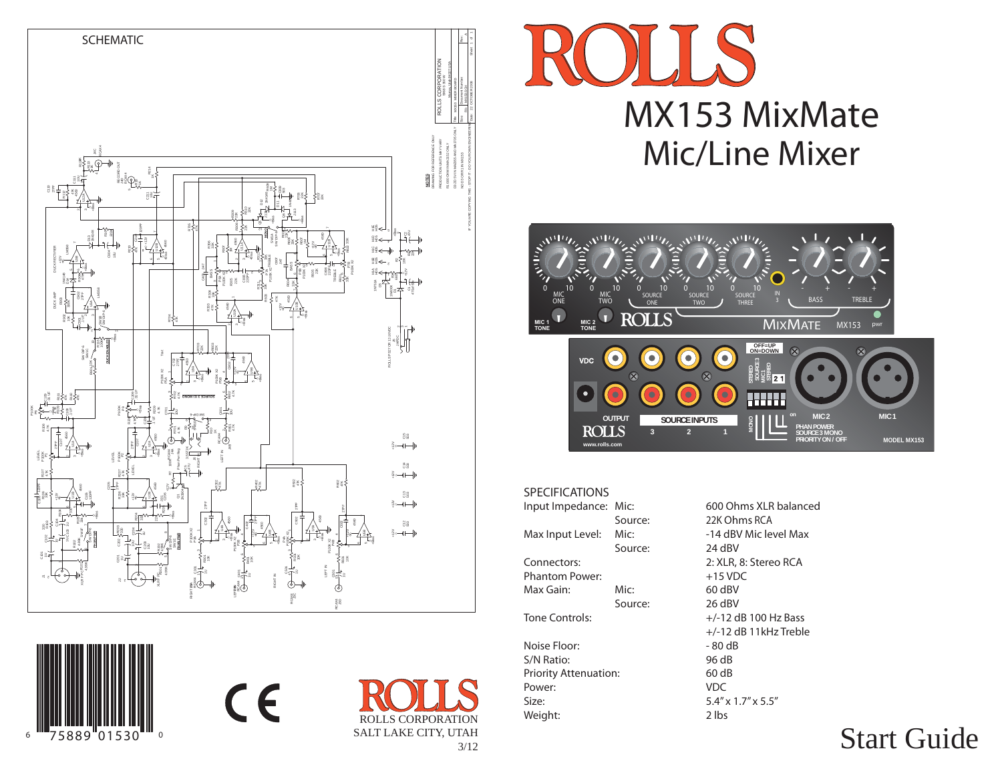

 $c \in$ 

66 '''758

89 01530<sup>-…</sup>。





## SPECIFICATIONS

ROLLS CORPORATIONSALT LAKE CITY, UTAH

3/12

| Input Impedance: Mic:        |         | 600 Ohms XLR balan                |
|------------------------------|---------|-----------------------------------|
|                              | Source: | 22K Ohms RCA                      |
| Max Input Level:             | Mic:    | -14 dBV Mic level Ma              |
|                              | Source: | 24 dBV                            |
| Connectors:                  |         | 2: XLR, 8: Stereo RCA             |
| <b>Phantom Power:</b>        |         | $+15$ VDC                         |
| Max Gain:                    | Mic:    | 60 dBV                            |
|                              | Source: | 26 dBV                            |
| <b>Tone Controls:</b>        |         | $+/-12$ dB 100 Hz Bass            |
|                              |         | $+/-12$ dB 11kHz Trebl            |
| Noise Floor:                 |         | $-80dB$                           |
| S/N Ratio:                   |         | 96 dB                             |
| <b>Priority Attenuation:</b> |         | 60 dB                             |
| Power:                       |         | <b>VDC</b>                        |
| Size:                        |         | $5.4'' \times 1.7'' \times 5.5''$ |
| Weight:                      |         | 2 lbs                             |

**IR** balanced level Max reo RCA Hz Treble

# Start Guide